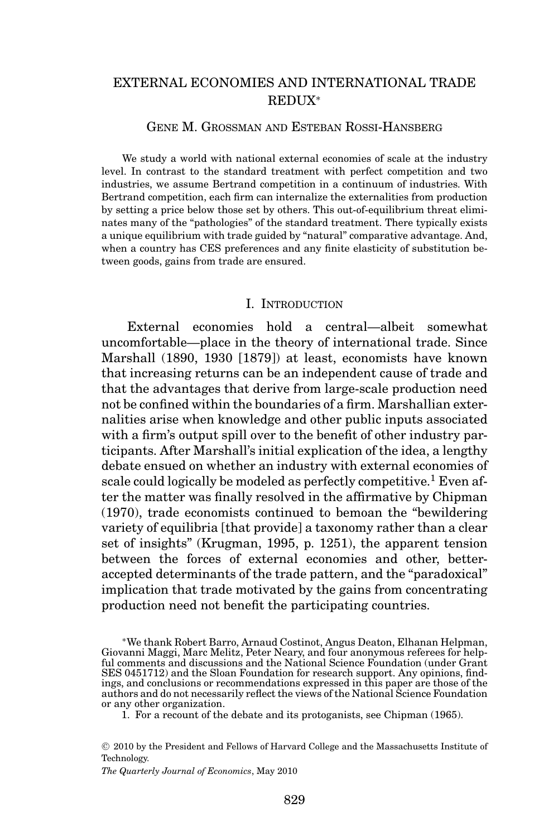# EXTERNAL ECONOMIES AND INTERNATIONAL TRADE REDUX<sup>∗</sup>

# GENE M. GROSSMAN AND ESTEBAN ROSSI-HANSBERG

We study a world with national external economies of scale at the industry level. In contrast to the standard treatment with perfect competition and two industries, we assume Bertrand competition in a continuum of industries. With Bertrand competition, each firm can internalize the externalities from production by setting a price below those set by others. This out-of-equilibrium threat eliminates many of the "pathologies" of the standard treatment. There typically exists a unique equilibrium with trade guided by "natural" comparative advantage. And, when a country has CES preferences and any finite elasticity of substitution between goods, gains from trade are ensured.

#### I. INTRODUCTION

External economies hold a central—albeit somewhat uncomfortable—place in the theory of international trade. Since Marshall (1890, 1930 [1879]) at least, economists have known that increasing returns can be an independent cause of trade and that the advantages that derive from large-scale production need not be confined within the boundaries of a firm. Marshallian externalities arise when knowledge and other public inputs associated with a firm's output spill over to the benefit of other industry participants. After Marshall's initial explication of the idea, a lengthy debate ensued on whether an industry with external economies of scale could logically be modeled as perfectly competitive.<sup>1</sup> Even after the matter was finally resolved in the affirmative by Chipman (1970), trade economists continued to bemoan the "bewildering variety of equilibria [that provide] a taxonomy rather than a clear set of insights" (Krugman, 1995, p. 1251), the apparent tension between the forces of external economies and other, betteraccepted determinants of the trade pattern, and the "paradoxical" implication that trade motivated by the gains from concentrating production need not benefit the participating countries.

∗We thank Robert Barro, Arnaud Costinot, Angus Deaton, Elhanan Helpman, Giovanni Maggi, Marc Melitz, Peter Neary, and four anonymous referees for helpful comments and discussions and the National Science Foundation (under Grant SES 0451712) and the Sloan Foundation for research support. Any opinions, findings, and conclusions or recommendations expressed in this paper are those of the authors and do not necessarily reflect the views of the National Science Foundation or any other organization.

1. For a recount of the debate and its protoganists, see Chipman (1965).

*The Quarterly Journal of Economics*, May 2010

<sup>C</sup> 2010 by the President and Fellows of Harvard College and the Massachusetts Institute of Technology.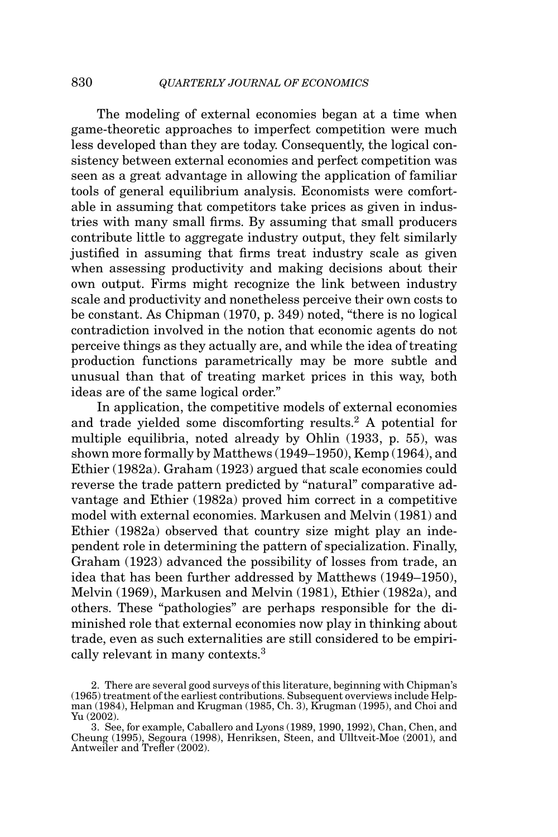The modeling of external economies began at a time when game-theoretic approaches to imperfect competition were much less developed than they are today. Consequently, the logical consistency between external economies and perfect competition was seen as a great advantage in allowing the application of familiar tools of general equilibrium analysis. Economists were comfortable in assuming that competitors take prices as given in industries with many small firms. By assuming that small producers contribute little to aggregate industry output, they felt similarly justified in assuming that firms treat industry scale as given when assessing productivity and making decisions about their own output. Firms might recognize the link between industry scale and productivity and nonetheless perceive their own costs to be constant. As Chipman (1970, p. 349) noted, "there is no logical contradiction involved in the notion that economic agents do not perceive things as they actually are, and while the idea of treating production functions parametrically may be more subtle and unusual than that of treating market prices in this way, both ideas are of the same logical order."

In application, the competitive models of external economies and trade yielded some discomforting results.<sup>2</sup> A potential for multiple equilibria, noted already by Ohlin (1933, p. 55), was shown more formally by Matthews (1949–1950), Kemp (1964), and Ethier (1982a). Graham (1923) argued that scale economies could reverse the trade pattern predicted by "natural" comparative advantage and Ethier (1982a) proved him correct in a competitive model with external economies. Markusen and Melvin (1981) and Ethier (1982a) observed that country size might play an independent role in determining the pattern of specialization. Finally, Graham (1923) advanced the possibility of losses from trade, an idea that has been further addressed by Matthews (1949–1950), Melvin (1969), Markusen and Melvin (1981), Ethier (1982a), and others. These "pathologies" are perhaps responsible for the diminished role that external economies now play in thinking about trade, even as such externalities are still considered to be empirically relevant in many contexts.3

<sup>2.</sup> There are several good surveys of this literature, beginning with Chipman's (1965) treatment of the earliest contributions. Subsequent overviews include Helpman (1984), Helpman and Krugman (1985, Ch. 3), Krugman (1995), and Choi and Yu (2002).

<sup>3.</sup> See, for example, Caballero and Lyons (1989, 1990, 1992), Chan, Chen, and Cheung (1995), Segoura (1998), Henriksen, Steen, and Ulltveit-Moe (2001), and Antweiler and Trefler (2002).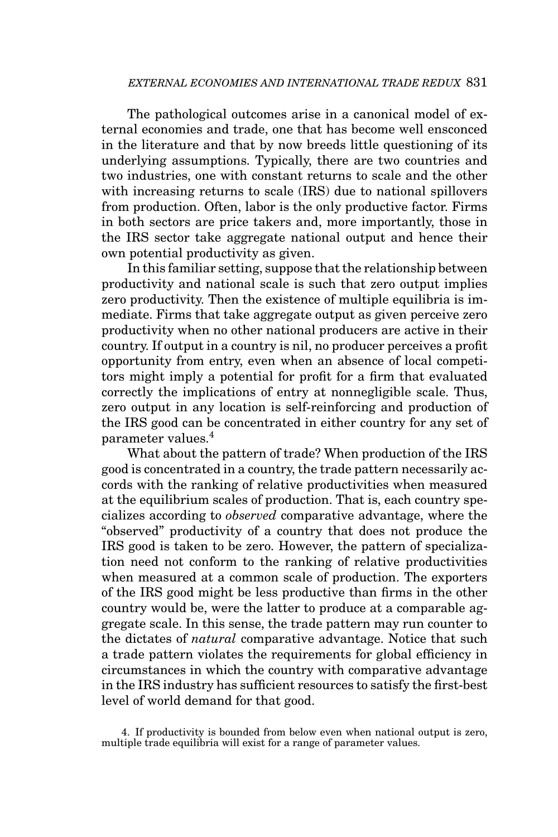The pathological outcomes arise in a canonical model of external economies and trade, one that has become well ensconced in the literature and that by now breeds little questioning of its underlying assumptions. Typically, there are two countries and two industries, one with constant returns to scale and the other with increasing returns to scale (IRS) due to national spillovers from production. Often, labor is the only productive factor. Firms in both sectors are price takers and, more importantly, those in the IRS sector take aggregate national output and hence their own potential productivity as given.

In this familiar setting, suppose that the relationship between productivity and national scale is such that zero output implies zero productivity. Then the existence of multiple equilibria is immediate. Firms that take aggregate output as given perceive zero productivity when no other national producers are active in their country. If output in a country is nil, no producer perceives a profit opportunity from entry, even when an absence of local competitors might imply a potential for profit for a firm that evaluated correctly the implications of entry at nonnegligible scale. Thus, zero output in any location is self-reinforcing and production of the IRS good can be concentrated in either country for any set of parameter values.<sup>4</sup>

What about the pattern of trade? When production of the IRS good is concentrated in a country, the trade pattern necessarily accords with the ranking of relative productivities when measured at the equilibrium scales of production. That is, each country specializes according to *observed* comparative advantage, where the "observed" productivity of a country that does not produce the IRS good is taken to be zero. However, the pattern of specialization need not conform to the ranking of relative productivities when measured at a common scale of production. The exporters of the IRS good might be less productive than firms in the other country would be, were the latter to produce at a comparable aggregate scale. In this sense, the trade pattern may run counter to the dictates of *natural* comparative advantage. Notice that such a trade pattern violates the requirements for global efficiency in circumstances in which the country with comparative advantage in the IRS industry has sufficient resources to satisfy the first-best level of world demand for that good.

<sup>4.</sup> If productivity is bounded from below even when national output is zero, multiple trade equilibria will exist for a range of parameter values.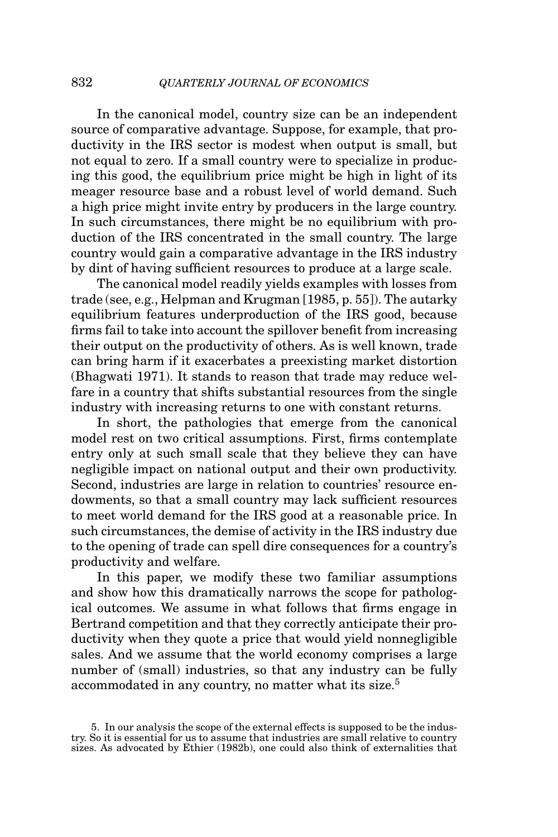In the canonical model, country size can be an independent source of comparative advantage. Suppose, for example, that productivity in the IRS sector is modest when output is small, but not equal to zero. If a small country were to specialize in producing this good, the equilibrium price might be high in light of its meager resource base and a robust level of world demand. Such a high price might invite entry by producers in the large country. In such circumstances, there might be no equilibrium with production of the IRS concentrated in the small country. The large country would gain a comparative advantage in the IRS industry by dint of having sufficient resources to produce at a large scale.

The canonical model readily yields examples with losses from trade (see, e.g., Helpman and Krugman [1985, p. 55]). The autarky equilibrium features underproduction of the IRS good, because firms fail to take into account the spillover benefit from increasing their output on the productivity of others. As is well known, trade can bring harm if it exacerbates a preexisting market distortion (Bhagwati 1971). It stands to reason that trade may reduce welfare in a country that shifts substantial resources from the single industry with increasing returns to one with constant returns.

In short, the pathologies that emerge from the canonical model rest on two critical assumptions. First, firms contemplate entry only at such small scale that they believe they can have negligible impact on national output and their own productivity. Second, industries are large in relation to countries' resource endowments, so that a small country may lack sufficient resources to meet world demand for the IRS good at a reasonable price. In such circumstances, the demise of activity in the IRS industry due to the opening of trade can spell dire consequences for a country's productivity and welfare.

In this paper, we modify these two familiar assumptions and show how this dramatically narrows the scope for pathological outcomes. We assume in what follows that firms engage in Bertrand competition and that they correctly anticipate their productivity when they quote a price that would yield nonnegligible sales. And we assume that the world economy comprises a large number of (small) industries, so that any industry can be fully accommodated in any country, no matter what its size.<sup>5</sup>

<sup>5.</sup> In our analysis the scope of the external effects is supposed to be the industry. So it is essential for us to assume that industries are small relative to country sizes. As advocated by Ethier (1982b), one could also think of externalities that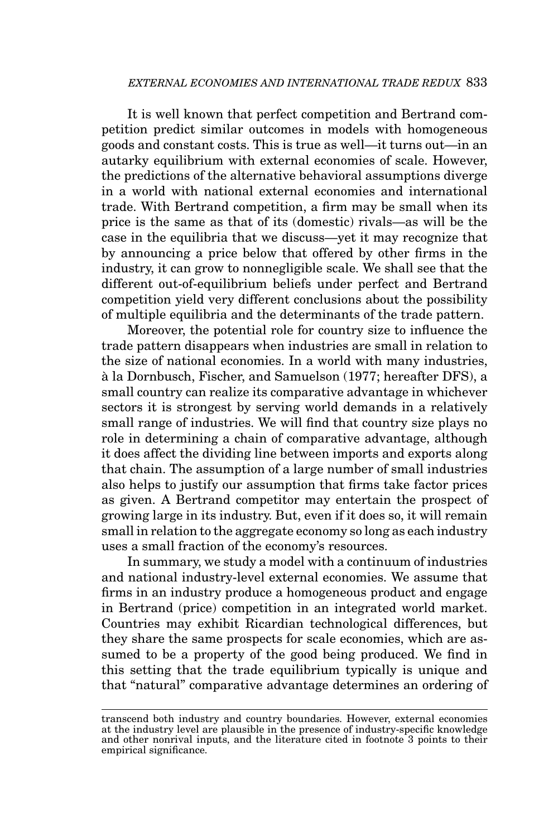It is well known that perfect competition and Bertrand competition predict similar outcomes in models with homogeneous goods and constant costs. This is true as well—it turns out—in an autarky equilibrium with external economies of scale. However, the predictions of the alternative behavioral assumptions diverge in a world with national external economies and international trade. With Bertrand competition, a firm may be small when its price is the same as that of its (domestic) rivals—as will be the case in the equilibria that we discuss—yet it may recognize that by announcing a price below that offered by other firms in the industry, it can grow to nonnegligible scale. We shall see that the different out-of-equilibrium beliefs under perfect and Bertrand competition yield very different conclusions about the possibility of multiple equilibria and the determinants of the trade pattern.

Moreover, the potential role for country size to influence the trade pattern disappears when industries are small in relation to the size of national economies. In a world with many industries, a la Dornbusch, Fischer, and Samuelson (1977; hereafter DFS), a ` small country can realize its comparative advantage in whichever sectors it is strongest by serving world demands in a relatively small range of industries. We will find that country size plays no role in determining a chain of comparative advantage, although it does affect the dividing line between imports and exports along that chain. The assumption of a large number of small industries also helps to justify our assumption that firms take factor prices as given. A Bertrand competitor may entertain the prospect of growing large in its industry. But, even if it does so, it will remain small in relation to the aggregate economy so long as each industry uses a small fraction of the economy's resources.

In summary, we study a model with a continuum of industries and national industry-level external economies. We assume that firms in an industry produce a homogeneous product and engage in Bertrand (price) competition in an integrated world market. Countries may exhibit Ricardian technological differences, but they share the same prospects for scale economies, which are assumed to be a property of the good being produced. We find in this setting that the trade equilibrium typically is unique and that "natural" comparative advantage determines an ordering of

transcend both industry and country boundaries. However, external economies at the industry level are plausible in the presence of industry-specific knowledge and other nonrival inputs, and the literature cited in footnote 3 points to their empirical significance.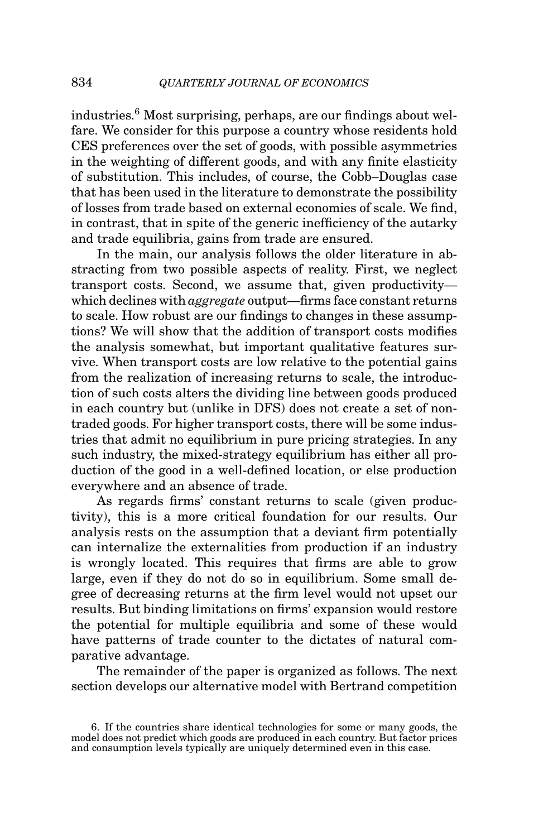industries.6 Most surprising, perhaps, are our findings about welfare. We consider for this purpose a country whose residents hold CES preferences over the set of goods, with possible asymmetries in the weighting of different goods, and with any finite elasticity of substitution. This includes, of course, the Cobb–Douglas case that has been used in the literature to demonstrate the possibility of losses from trade based on external economies of scale. We find, in contrast, that in spite of the generic inefficiency of the autarky and trade equilibria, gains from trade are ensured.

In the main, our analysis follows the older literature in abstracting from two possible aspects of reality. First, we neglect transport costs. Second, we assume that, given productivity which declines with *aggregate* output—firms face constant returns to scale. How robust are our findings to changes in these assumptions? We will show that the addition of transport costs modifies the analysis somewhat, but important qualitative features survive. When transport costs are low relative to the potential gains from the realization of increasing returns to scale, the introduction of such costs alters the dividing line between goods produced in each country but (unlike in DFS) does not create a set of nontraded goods. For higher transport costs, there will be some industries that admit no equilibrium in pure pricing strategies. In any such industry, the mixed-strategy equilibrium has either all production of the good in a well-defined location, or else production everywhere and an absence of trade.

As regards firms' constant returns to scale (given productivity), this is a more critical foundation for our results. Our analysis rests on the assumption that a deviant firm potentially can internalize the externalities from production if an industry is wrongly located. This requires that firms are able to grow large, even if they do not do so in equilibrium. Some small degree of decreasing returns at the firm level would not upset our results. But binding limitations on firms' expansion would restore the potential for multiple equilibria and some of these would have patterns of trade counter to the dictates of natural comparative advantage.

The remainder of the paper is organized as follows. The next section develops our alternative model with Bertrand competition

<sup>6.</sup> If the countries share identical technologies for some or many goods, the model does not predict which goods are produced in each country. But factor prices and consumption levels typically are uniquely determined even in this case.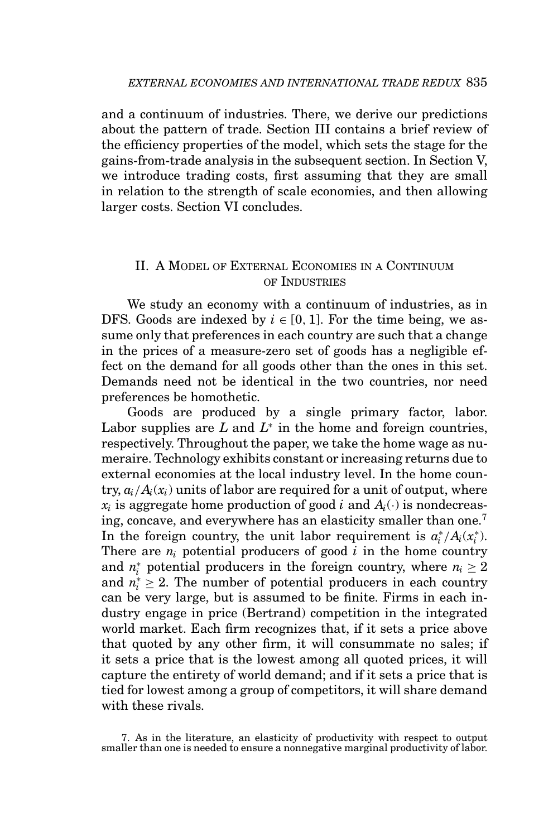and a continuum of industries. There, we derive our predictions about the pattern of trade. Section III contains a brief review of the efficiency properties of the model, which sets the stage for the gains-from-trade analysis in the subsequent section. In Section V, we introduce trading costs, first assuming that they are small in relation to the strength of scale economies, and then allowing larger costs. Section VI concludes.

# II. A MODEL OF EXTERNAL ECONOMIES IN A CONTINUUM OF INDUSTRIES

We study an economy with a continuum of industries, as in DFS. Goods are indexed by  $i \in [0, 1]$ . For the time being, we assume only that preferences in each country are such that a change in the prices of a measure-zero set of goods has a negligible effect on the demand for all goods other than the ones in this set. Demands need not be identical in the two countries, nor need preferences be homothetic.

Goods are produced by a single primary factor, labor. Labor supplies are *L* and *L*<sup>∗</sup> in the home and foreign countries, respectively. Throughout the paper, we take the home wage as numeraire. Technology exhibits constant or increasing returns due to external economies at the local industry level. In the home country,  $a_i/A_i(x_i)$  units of labor are required for a unit of output, where  $x_i$  is aggregate home production of good *i* and  $A_i(\cdot)$  is nondecreasing, concave, and everywhere has an elasticity smaller than one.<sup>7</sup> In the foreign country, the unit labor requirement is  $a_i^*/A_i(x_i^*)$ . There are  $n_i$  potential producers of good  $i$  in the home country and  $n_i^*$  potential producers in the foreign country, where  $n_i \geq 2$ and  $n_i^* \geq 2$ . The number of potential producers in each country can be very large, but is assumed to be finite. Firms in each industry engage in price (Bertrand) competition in the integrated world market. Each firm recognizes that, if it sets a price above that quoted by any other firm, it will consummate no sales; if it sets a price that is the lowest among all quoted prices, it will capture the entirety of world demand; and if it sets a price that is tied for lowest among a group of competitors, it will share demand with these rivals.

<sup>7.</sup> As in the literature, an elasticity of productivity with respect to output smaller than one is needed to ensure a nonnegative marginal productivity of labor.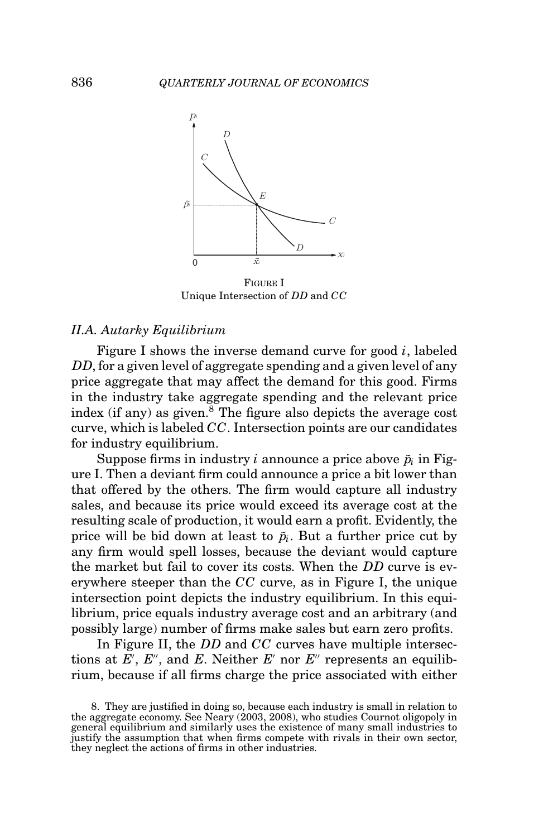

FIGURE I Unique Intersection of *DD* and *CC*

## *II.A. Autarky Equilibrium*

Figure I shows the inverse demand curve for good *i*, labeled *DD*, for a given level of aggregate spending and a given level of any price aggregate that may affect the demand for this good. Firms in the industry take aggregate spending and the relevant price index (if any) as given. $8$  The figure also depicts the average cost curve, which is labeled *CC*. Intersection points are our candidates for industry equilibrium.

Suppose firms in industry *i* announce a price above  $\tilde{p}_i$  in Figure I. Then a deviant firm could announce a price a bit lower than that offered by the others. The firm would capture all industry sales, and because its price would exceed its average cost at the resulting scale of production, it would earn a profit. Evidently, the price will be bid down at least to  $\tilde{p}_i$ . But a further price cut by any firm would spell losses, because the deviant would capture the market but fail to cover its costs. When the *DD* curve is everywhere steeper than the *CC* curve, as in Figure I, the unique intersection point depicts the industry equilibrium. In this equilibrium, price equals industry average cost and an arbitrary (and possibly large) number of firms make sales but earn zero profits.

In Figure II, the *DD* and *CC* curves have multiple intersections at E', E'', and E. Neither E' nor E'' represents an equilibrium, because if all firms charge the price associated with either

<sup>8.</sup> They are justified in doing so, because each industry is small in relation to the aggregate economy. See Neary (2003, 2008), who studies Cournot oligopoly in general equilibrium and similarly uses the existence of many small industries to justify the assumption that when firms compete with rivals in their own sector, they neglect the actions of firms in other industries.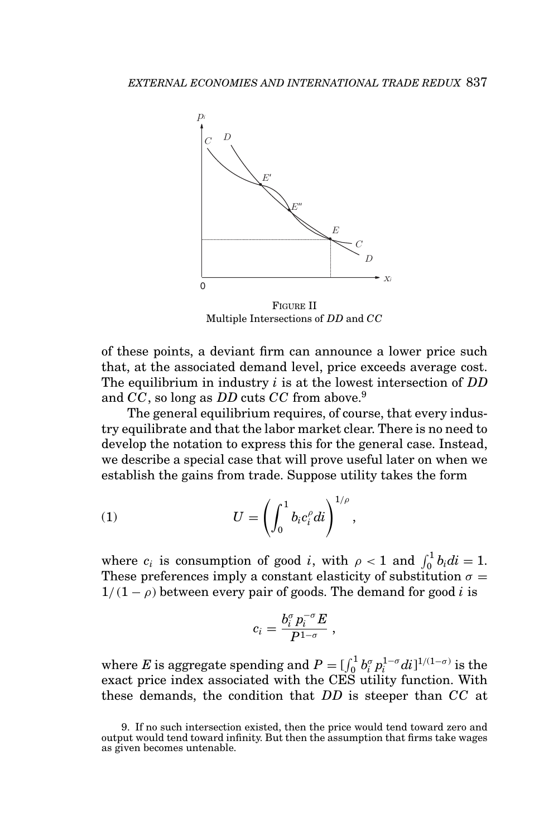

FIGURE II Multiple Intersections of *DD* and *CC*

of these points, a deviant firm can announce a lower price such that, at the associated demand level, price exceeds average cost. The equilibrium in industry *i* is at the lowest intersection of *DD* and *CC*, so long as *DD* cuts *CC* from above.9

The general equilibrium requires, of course, that every industry equilibrate and that the labor market clear. There is no need to develop the notation to express this for the general case. Instead, we describe a special case that will prove useful later on when we establish the gains from trade. Suppose utility takes the form

$$
(1) \tU = \left(\int_0^1 b_i c_i^{\rho} di\right)^{1/\rho}
$$

where  $c_i$  is consumption of good *i*, with  $\rho < 1$  and  $\int_0^1 b_i di = 1$ . These preferences imply a constant elasticity of substitution  $\sigma =$  $1/(1 - \rho)$  between every pair of goods. The demand for good *i* is

,

$$
c_i = \frac{b_i^{\sigma} p_i^{-\sigma} E}{P^{1-\sigma}} \ ,
$$

where *E* is aggregate spending and  $P = \int_0^1 b_i^{\sigma} p_i^{1-\sigma} di^{1/(1-\sigma)}$  is the exact price index associated with the CES utility function. With these demands, the condition that *DD* is steeper than *CC* at

<sup>9.</sup> If no such intersection existed, then the price would tend toward zero and output would tend toward infinity. But then the assumption that firms take wages as given becomes untenable.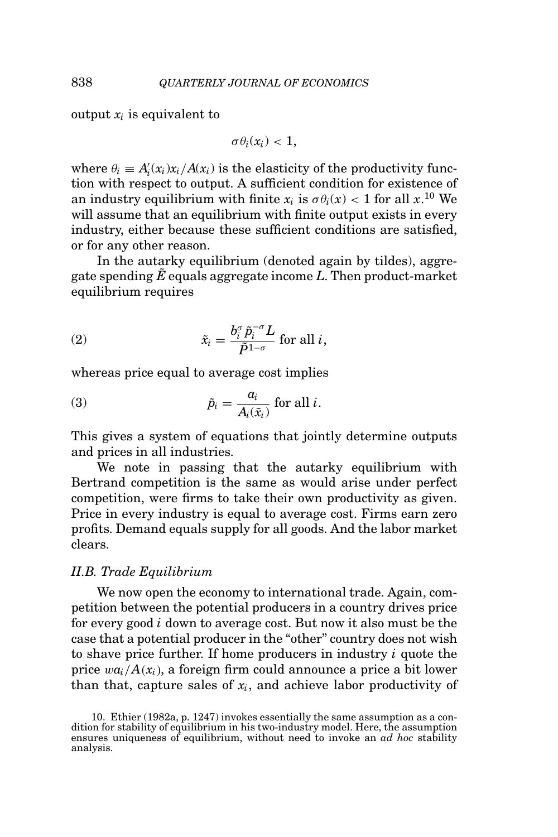output  $x_i$  is equivalent to

$$
\sigma\theta_i(x_i) < 1,
$$

where  $\theta_i \equiv A'_i(x_i)x_i/A(x_i)$  is the elasticity of the productivity function with respect to output. A sufficient condition for existence of an industry equilibrium with finite  $x_i$  is  $\sigma \theta_i(x) < 1$  for all  $x.^{10}$  We will assume that an equilibrium with finite output exists in every industry, either because these sufficient conditions are satisfied, or for any other reason.

In the autarky equilibrium (denoted again by tildes), aggregate spending  $\tilde{E}$  equals aggregate income  $L$ . Then product-market equilibrium requires

(2) 
$$
\tilde{x}_i = \frac{b_i^{\sigma} \tilde{p}_i^{-\sigma} L}{\tilde{P}^{1-\sigma}} \text{ for all } i,
$$

whereas price equal to average cost implies

(3) 
$$
\tilde{p}_i = \frac{a_i}{A_i(\tilde{x}_i)} \text{ for all } i.
$$

This gives a system of equations that jointly determine outputs and prices in all industries.

We note in passing that the autarky equilibrium with Bertrand competition is the same as would arise under perfect competition, were firms to take their own productivity as given. Price in every industry is equal to average cost. Firms earn zero profits. Demand equals supply for all goods. And the labor market clears.

## *II.B. Trade Equilibrium*

We now open the economy to international trade. Again, competition between the potential producers in a country drives price for every good *i* down to average cost. But now it also must be the case that a potential producer in the "other" country does not wish to shave price further. If home producers in industry *i* quote the price  $wa_i/A(x_i)$ , a foreign firm could announce a price a bit lower than that, capture sales of  $x_i$ , and achieve labor productivity of

<sup>10.</sup> Ethier (1982a, p. 1247) invokes essentially the same assumption as a con-dition for stability of equilibrium in his two-industry model. Here, the assumption ensures uniqueness of equilibrium, without need to invoke an *ad hoc* stability analysis.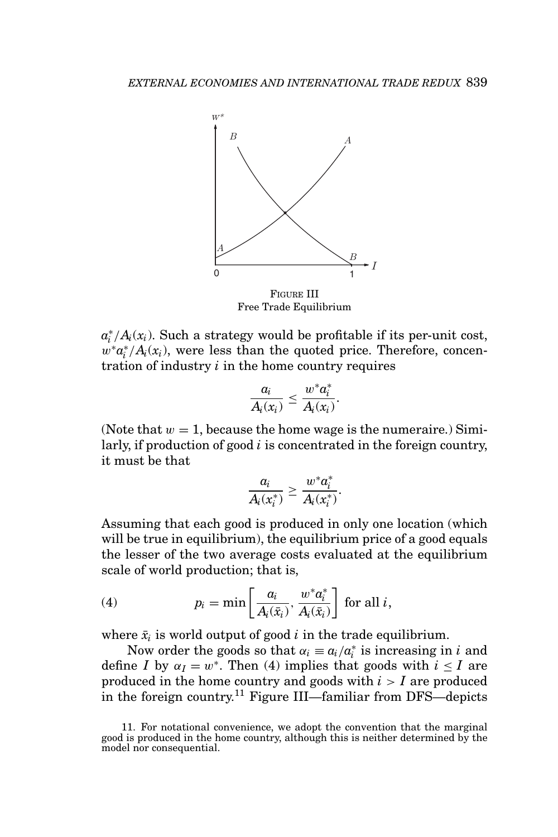

FIGURE III Free Trade Equilibrium

 $a_i^*/A_i(x_i)$ . Such a strategy would be profitable if its per-unit cost,  $w^*a_i^*/A_i(x_i)$ , were less than the quoted price. Therefore, concentration of industry *i* in the home country requires

$$
\frac{a_i}{A_i(x_i)} \leq \frac{w^*a_i^*}{A_i(x_i)}.
$$

(Note that  $w = 1$ , because the home wage is the numeraire.) Similarly, if production of good *i* is concentrated in the foreign country, it must be that

$$
\frac{a_i}{A_i(x_i^*)} \geq \frac{w^*a_i^*}{A_i(x_i^*)}.
$$

Assuming that each good is produced in only one location (which will be true in equilibrium), the equilibrium price of a good equals the lesser of the two average costs evaluated at the equilibrium scale of world production; that is,

(4) 
$$
p_i = \min\left[\frac{a_i}{A_i(\bar{x}_i)}, \frac{w^* a_i^*}{A_i(\bar{x}_i)}\right] \text{ for all } i,
$$

where  $\bar{x}_i$  is world output of good  $i$  in the trade equilibrium.

Now order the goods so that  $\alpha_i \equiv a_i/a_i^*$  is increasing in *i* and define *I* by  $\alpha_I = w^*$ . Then (4) implies that goods with  $i \leq I$  are produced in the home country and goods with *i* > *I* are produced in the foreign country.<sup>11</sup> Figure III—familiar from DFS—depicts

<sup>11.</sup> For notational convenience, we adopt the convention that the marginal good is produced in the home country, although this is neither determined by the model nor consequential.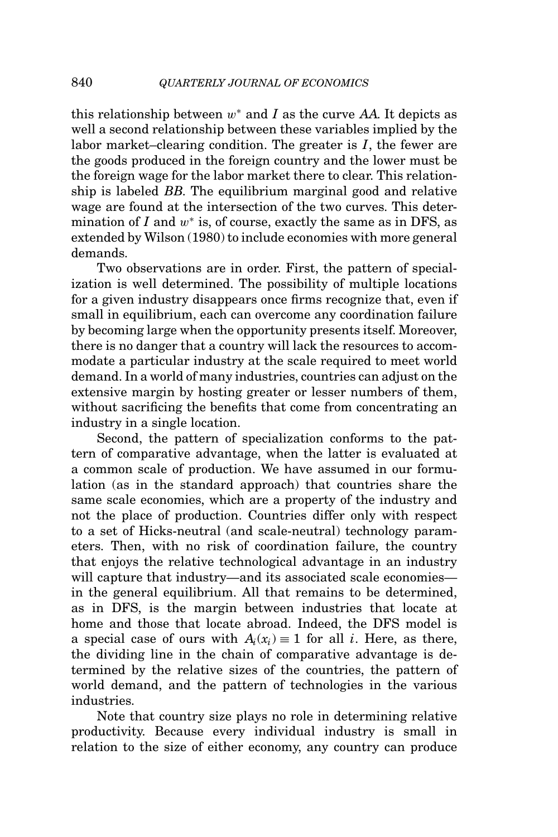this relationship between w<sup>∗</sup> and *I* as the curve *AA*. It depicts as well a second relationship between these variables implied by the labor market–clearing condition. The greater is *I*, the fewer are the goods produced in the foreign country and the lower must be the foreign wage for the labor market there to clear. This relationship is labeled *BB*. The equilibrium marginal good and relative wage are found at the intersection of the two curves. This determination of  $I$  and  $w^*$  is, of course, exactly the same as in DFS, as extended by Wilson (1980) to include economies with more general demands.

Two observations are in order. First, the pattern of specialization is well determined. The possibility of multiple locations for a given industry disappears once firms recognize that, even if small in equilibrium, each can overcome any coordination failure by becoming large when the opportunity presents itself. Moreover, there is no danger that a country will lack the resources to accommodate a particular industry at the scale required to meet world demand. In a world of many industries, countries can adjust on the extensive margin by hosting greater or lesser numbers of them, without sacrificing the benefits that come from concentrating an industry in a single location.

Second, the pattern of specialization conforms to the pattern of comparative advantage, when the latter is evaluated at a common scale of production. We have assumed in our formulation (as in the standard approach) that countries share the same scale economies, which are a property of the industry and not the place of production. Countries differ only with respect to a set of Hicks-neutral (and scale-neutral) technology parameters. Then, with no risk of coordination failure, the country that enjoys the relative technological advantage in an industry will capture that industry—and its associated scale economies in the general equilibrium. All that remains to be determined, as in DFS, is the margin between industries that locate at home and those that locate abroad. Indeed, the DFS model is a special case of ours with  $A_i(x_i) \equiv 1$  for all *i*. Here, as there, the dividing line in the chain of comparative advantage is determined by the relative sizes of the countries, the pattern of world demand, and the pattern of technologies in the various industries.

Note that country size plays no role in determining relative productivity. Because every individual industry is small in relation to the size of either economy, any country can produce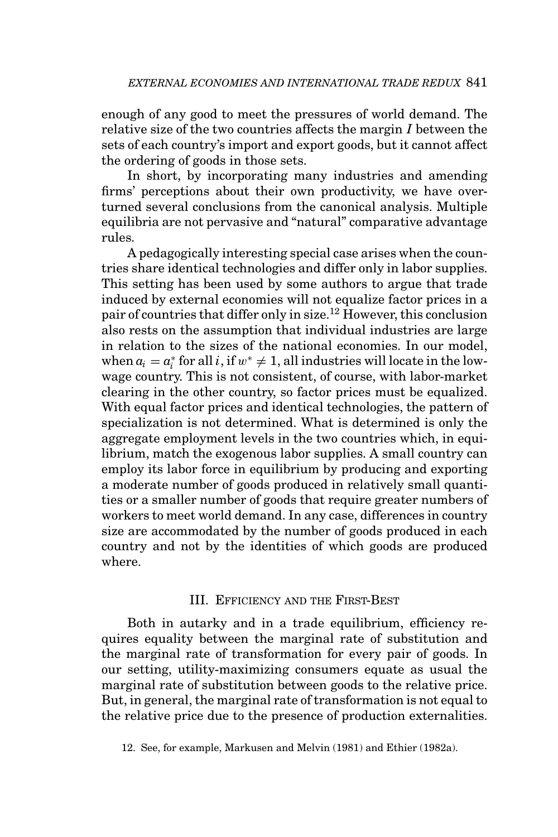enough of any good to meet the pressures of world demand. The relative size of the two countries affects the margin *I* between the sets of each country's import and export goods, but it cannot affect the ordering of goods in those sets.

In short, by incorporating many industries and amending firms' perceptions about their own productivity, we have overturned several conclusions from the canonical analysis. Multiple equilibria are not pervasive and "natural" comparative advantage rules.

A pedagogically interesting special case arises when the countries share identical technologies and differ only in labor supplies. This setting has been used by some authors to argue that trade induced by external economies will not equalize factor prices in a pair of countries that differ only in size.12 However, this conclusion also rests on the assumption that individual industries are large in relation to the sizes of the national economies. In our model, when  $a_i = a_i^*$  for all *i*, if  $w^* \neq 1$ , all industries will locate in the lowwage country. This is not consistent, of course, with labor-market clearing in the other country, so factor prices must be equalized. With equal factor prices and identical technologies, the pattern of specialization is not determined. What is determined is only the aggregate employment levels in the two countries which, in equilibrium, match the exogenous labor supplies. A small country can employ its labor force in equilibrium by producing and exporting a moderate number of goods produced in relatively small quantities or a smaller number of goods that require greater numbers of workers to meet world demand. In any case, differences in country size are accommodated by the number of goods produced in each country and not by the identities of which goods are produced where.

#### III. EFFICIENCY AND THE FIRST-BEST

Both in autarky and in a trade equilibrium, efficiency requires equality between the marginal rate of substitution and the marginal rate of transformation for every pair of goods. In our setting, utility-maximizing consumers equate as usual the marginal rate of substitution between goods to the relative price. But, in general, the marginal rate of transformation is not equal to the relative price due to the presence of production externalities.

12. See, for example, Markusen and Melvin (1981) and Ethier (1982a).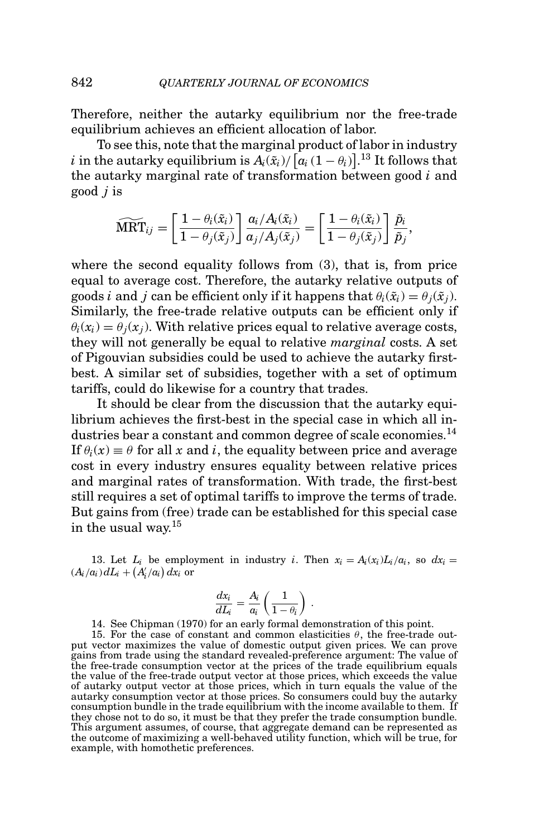Therefore, neither the autarky equilibrium nor the free-trade equilibrium achieves an efficient allocation of labor.

To see this, note that the marginal product of labor in industry *i* in the autarky equilibrium is  $A_i(\tilde{x}_i) / [a_i(1 - \theta_i)]$ .<sup>13</sup> It follows that the autarky marginal rate of transformation between good *i* and<br>
good *j* is<br>  $\widehat{\text{MRT}}_{ij} = \left[ \frac{1 - \theta_i(\tilde{x}_i)}{1 - \hat{\theta}_i(\tilde{x}_i)} \right] \frac{a_i/A_i(\tilde{x}_i)}{A_i(\tilde{x}_i)} = \left[ \frac{1 - \theta_i(\tilde{x}_i)}{1 - \hat{\theta}_i(\tilde{x}_i)} \right] \frac{\tilde{p}_i}{\tilde{p}_i},$ good *j* is

$$
\widehat{\text{MRT}}_{ij} = \left[ \frac{1 - \theta_i(\tilde{x}_i)}{1 - \theta_j(\tilde{x}_j)} \right] \frac{a_i/A_i(\tilde{x}_i)}{a_j/A_j(\tilde{x}_j)} = \left[ \frac{1 - \theta_i(\tilde{x}_i)}{1 - \theta_j(\tilde{x}_j)} \right] \frac{\tilde{p}_i}{\tilde{p}_j},
$$

where the second equality follows from (3), that is, from price equal to average cost. Therefore, the autarky relative outputs of goods *i* and *j* can be efficient only if it happens that  $\theta_i(\tilde{x}_i) = \theta_i(\tilde{x}_i)$ . Similarly, the free-trade relative outputs can be efficient only if  $\theta_i(x_i) = \theta_i(x_i)$ . With relative prices equal to relative average costs, they will not generally be equal to relative *marginal* costs. A set of Pigouvian subsidies could be used to achieve the autarky firstbest. A similar set of subsidies, together with a set of optimum tariffs, could do likewise for a country that trades.

It should be clear from the discussion that the autarky equilibrium achieves the first-best in the special case in which all industries bear a constant and common degree of scale economies.<sup>14</sup> If  $\theta_i(x) \equiv \theta$  for all x and *i*, the equality between price and average cost in every industry ensures equality between relative prices and marginal rates of transformation. With trade, the first-best still requires a set of optimal tariffs to improve the terms of trade. But gains from (free) trade can be established for this special case in the usual way.<sup>15</sup>

13. Let  $L_i$  be employment in industry *i*. Then  $x_i = A_i(x_i)L_i/a_i$ , so  $dx_i =$  $(A_i/a_i) dL_i + (A'_i/a_i) dx_i$  or

$$
\frac{dx_i}{dL_i} = \frac{A_i}{a_i} \left( \frac{1}{1 - \theta_i} \right) .
$$

14. See Chipman (1970) for an early formal demonstration of this point.

15. For the case of constant and common elasticities  $θ$ , the free-trade output vector maximizes the value of domestic output given prices. We can prove gains from trade using the standard revealed-preference argument: The value of the free-trade consumption vector at the prices of the trade equilibrium equals the value of the free-trade output vector at those prices, which exceeds the value of autarky output vector at those prices, which in turn equals the value of the autarky consumption vector at those prices. So consumers could buy the autarky consumption bundle in the trade equilibrium with the income available to them. If they chose not to do so, it must be that they prefer the trade consumption bundle. This argument assumes, of course, that aggregate demand can be represented as the outcome of maximizing a well-behaved utility function, which will be true, for example, with homothetic preferences.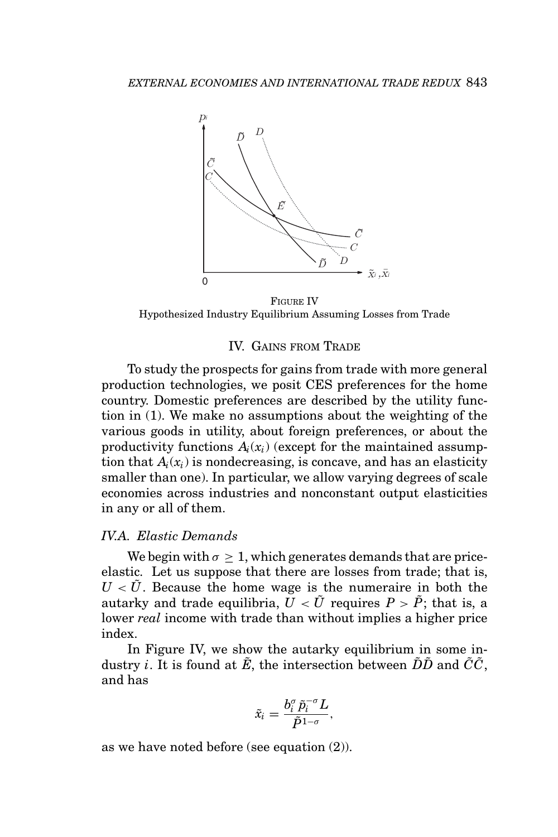

FIGURE IV Hypothesized Industry Equilibrium Assuming Losses from Trade

#### IV. GAINS FROM TRADE

To study the prospects for gains from trade with more general production technologies, we posit CES preferences for the home country. Domestic preferences are described by the utility function in (1). We make no assumptions about the weighting of the various goods in utility, about foreign preferences, or about the productivity functions  $A_i(x_i)$  (except for the maintained assumption that  $A_i(x_i)$  is nondecreasing, is concave, and has an elasticity smaller than one). In particular, we allow varying degrees of scale economies across industries and nonconstant output elasticities in any or all of them.

# *IV.A. Elastic Demands*

We begin with  $\sigma > 1$ , which generates demands that are priceelastic. Let us suppose that there are losses from trade; that is,  $U < U$ . Because the home wage is the numeraire in both the autarky and trade equilibria,  $U \langle \tilde{U} \rangle$  requires  $P \rangle \tilde{P}$ ; that is, a lower *real* income with trade than without implies a higher price index.

In Figure IV, we show the autarky equilibrium in some industry *i*. It is found at  $\tilde{E}$ , the intersection between  $\tilde{D}\tilde{D}$  and  $\tilde{C}\tilde{C}$ , and has

$$
\tilde{x}_i = \frac{b_i^{\sigma} \tilde{p}_i^{-\sigma} L}{\tilde{P}^{1-\sigma}},
$$

as we have noted before (see equation (2)).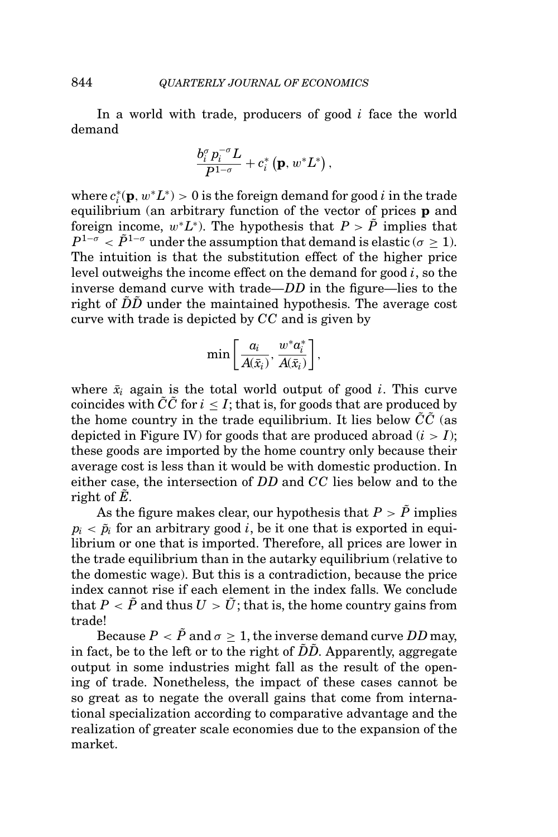In a world with trade, producers of good *i* face the world demand

$$
\frac{b_i^{\sigma} p_i^{-\sigma} L}{P^{1-\sigma}} + c_i^* \left( \mathbf{p}, w^* L^* \right),
$$

where  $c_i^*(\mathbf{p}, w^*L^*) > 0$  is the foreign demand for good  $i$  in the trade equilibrium (an arbitrary function of the vector of prices **p** and foreign income,  $w^*L^*$ ). The hypothesis that  $P > \tilde{P}$  implies that  $P^{1-\sigma} < \tilde{P}^{1-\sigma}$  under the assumption that demand is elastic ( $\sigma \geq 1$ ). The intuition is that the substitution effect of the higher price level outweighs the income effect on the demand for good *i*, so the inverse demand curve with trade—*DD* in the figure—lies to the right of  $\tilde{D}\tilde{D}$  under the maintained hypothesis. The average cost curve with trade is depicted by *CC* and is given by

$$
\min\left[\frac{a_i}{A(\bar{x}_i)},\frac{w^*a_i^*}{A(\bar{x}_i)}\right],
$$

where  $\bar{x}_i$  again is the total world output of good *i*. This curve coincides with  $\tilde{C}\tilde{C}$  for  $i \leq I$ ; that is, for goods that are produced by the home country in the trade equilibrium. It lies below  $\tilde{C}\tilde{C}$  (as depicted in Figure IV) for goods that are produced abroad  $(i > I)$ ; these goods are imported by the home country only because their average cost is less than it would be with domestic production. In either case, the intersection of *DD* and *CC* lies below and to the right of  $\overline{E}$ .

As the figure makes clear, our hypothesis that  $P > \tilde{P}$  implies  $p_i < \tilde{p}_i$  for an arbitrary good *i*, be it one that is exported in equilibrium or one that is imported. Therefore, all prices are lower in the trade equilibrium than in the autarky equilibrium (relative to the domestic wage). But this is a contradiction, because the price index cannot rise if each element in the index falls. We conclude that  $P < \tilde{P}$  and thus  $U > \tilde{U}$ ; that is, the home country gains from trade!

Because  $P < \tilde{P}$  and  $\sigma \geq 1$ , the inverse demand curve *DD* may, in fact, be to the left or to the right of  $\tilde{D}\tilde{D}$ . Apparently, aggregate output in some industries might fall as the result of the opening of trade. Nonetheless, the impact of these cases cannot be so great as to negate the overall gains that come from international specialization according to comparative advantage and the realization of greater scale economies due to the expansion of the market.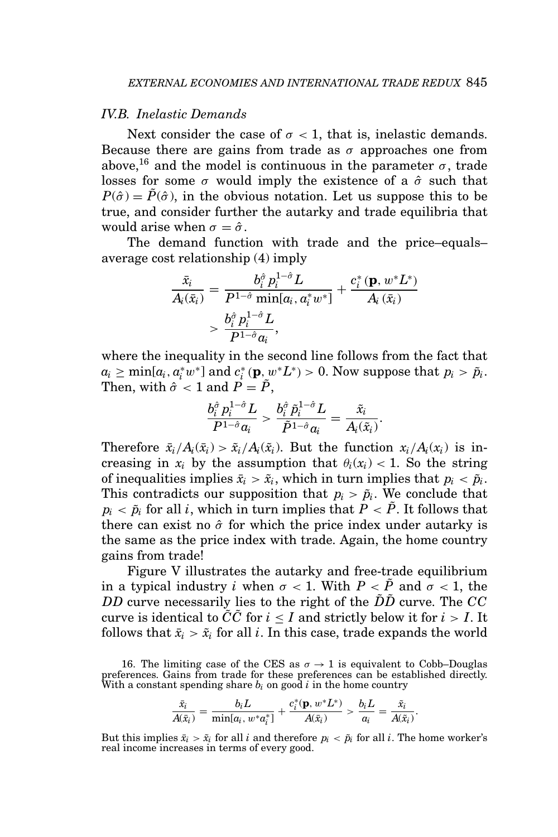### *IV.B. Inelastic Demands*

Next consider the case of  $\sigma$  < 1, that is, inelastic demands. Because there are gains from trade as  $\sigma$  approaches one from above,<sup>16</sup> and the model is continuous in the parameter  $\sigma$ , trade losses for some  $\sigma$  would imply the existence of a  $\hat{\sigma}$  such that  $P(\hat{\sigma}) = P(\hat{\sigma})$ , in the obvious notation. Let us suppose this to be true, and consider further the autarky and trade equilibria that would arise when  $\sigma = \hat{\sigma}$ .

The demand function with trade and the price–equals– average cost relationship (4) imply

$$
\begin{aligned} \frac{\bar{x}_i}{A_i(\bar{x}_i)} &= \frac{b_i^\hat{\sigma}\, p_i^{1-\hat{\sigma}} L}{P^{1-\hat{\sigma}}\min[a_i,a_i^*w^*]} + \frac{c_i^*(\mathbf{p},w^*L^*)}{A_i\left(\bar{x}_i\right)} \\&> \frac{b_i^\hat{\sigma}\, p_i^{1-\hat{\sigma}} L}{P^{1-\hat{\sigma}}a_i}, \end{aligned}
$$

where the inequality in the second line follows from the fact that  $a_i \geq \min[a_i, a_i^*w^*]$  and  $c_i^*(\mathbf{p}, w^*L^*) > 0$ . Now suppose that  $p_i > \tilde{p}_i$ . Then, with  $\hat{\sigma} < 1$  and  $\hat{P} = \tilde{P}$ ,

$$
\frac{b_i^{\hat{\sigma}} p_i^{1-\hat{\sigma}} L}{P^{1-\hat{\sigma}} a_i} > \frac{b_i^{\hat{\sigma}} \tilde{p}_i^{1-\hat{\sigma}} L}{\tilde{P}^{1-\hat{\sigma}} a_i} = \frac{\tilde{x}_i}{A_i(\tilde{x}_i)}
$$

.

Therefore  $\bar{x}_i/A_i(\bar{x}_i) > \tilde{x}_i/A_i(\tilde{x}_i)$ . But the function  $x_i/A_i(x_i)$  is increasing in  $x_i$  by the assumption that  $\theta_i(x_i) < 1$ . So the string of inequalities implies  $\bar{x}_i > \tilde{x}_i$ , which in turn implies that  $p_i < \tilde{p}_i$ . This contradicts our supposition that  $p_i > \tilde{p}_i$ . We conclude that  $p_i < \tilde{p}_i$  for all *i*, which in turn implies that  $P < \tilde{P}$ . It follows that there can exist no  $\hat{\sigma}$  for which the price index under autarky is the same as the price index with trade. Again, the home country gains from trade!

Figure V illustrates the autarky and free-trade equilibrium in a typical industry *i* when  $\sigma < 1$ . With  $P < \tilde{P}$  and  $\sigma < 1$ , the *DD* curve necessarily lies to the right of the  $\tilde{D}\tilde{D}$  curve. The *CC* curve is identical to *CC* for  $i \leq I$  and strictly below it for  $i > I$ . It follows that  $\bar{x}_i > \tilde{x}_i$  for all *i*. In this case, trade expands the world

16. The limiting case of the CES as  $\sigma \to 1$  is equivalent to Cobb–Douglas preferences. Gains from trade for these preferences can be established directly. With a constant spending share *bi* on good *i* in the home country

$$
\frac{\bar{x}_i}{A(\bar{x}_i)} = \frac{b_i L}{\min[a_i, w^* a_i^*]} + \frac{c_i^* (\mathbf{p}, w^* L^*)}{A(\bar{x}_i)} > \frac{b_i L}{a_i} = \frac{\tilde{x}_i}{A(\tilde{x}_i)}.
$$

But this implies  $\bar{x}_i > \tilde{x}_i$  for all *i* and therefore  $p_i < \tilde{p}_i$  for all *i*. The home worker's real income increases in terms of every good.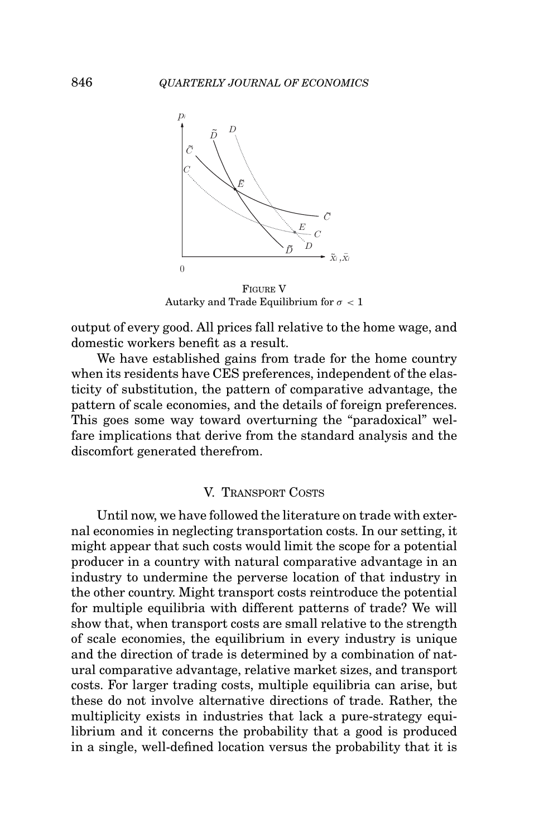

FIGURE V Autarky and Trade Equilibrium for  $\sigma$  < 1

output of every good. All prices fall relative to the home wage, and domestic workers benefit as a result.

We have established gains from trade for the home country when its residents have CES preferences, independent of the elasticity of substitution, the pattern of comparative advantage, the pattern of scale economies, and the details of foreign preferences. This goes some way toward overturning the "paradoxical" welfare implications that derive from the standard analysis and the discomfort generated therefrom.

#### V. TRANSPORT COSTS

Until now, we have followed the literature on trade with external economies in neglecting transportation costs. In our setting, it might appear that such costs would limit the scope for a potential producer in a country with natural comparative advantage in an industry to undermine the perverse location of that industry in the other country. Might transport costs reintroduce the potential for multiple equilibria with different patterns of trade? We will show that, when transport costs are small relative to the strength of scale economies, the equilibrium in every industry is unique and the direction of trade is determined by a combination of natural comparative advantage, relative market sizes, and transport costs. For larger trading costs, multiple equilibria can arise, but these do not involve alternative directions of trade. Rather, the multiplicity exists in industries that lack a pure-strategy equilibrium and it concerns the probability that a good is produced in a single, well-defined location versus the probability that it is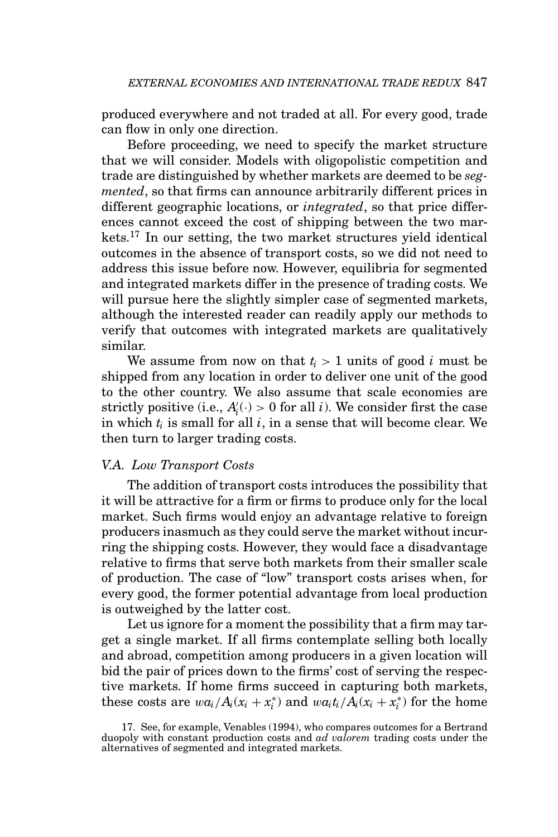produced everywhere and not traded at all. For every good, trade can flow in only one direction.

Before proceeding, we need to specify the market structure that we will consider. Models with oligopolistic competition and trade are distinguished by whether markets are deemed to be *segmented*, so that firms can announce arbitrarily different prices in different geographic locations, or *integrated*, so that price differences cannot exceed the cost of shipping between the two markets.<sup>17</sup> In our setting, the two market structures yield identical outcomes in the absence of transport costs, so we did not need to address this issue before now. However, equilibria for segmented and integrated markets differ in the presence of trading costs. We will pursue here the slightly simpler case of segmented markets, although the interested reader can readily apply our methods to verify that outcomes with integrated markets are qualitatively similar.

We assume from now on that  $t_i > 1$  units of good *i* must be shipped from any location in order to deliver one unit of the good to the other country. We also assume that scale economies are strictly positive (i.e.,  $A_i'(\cdot) > 0$  for all *i*). We consider first the case in which *ti* is small for all *i*, in a sense that will become clear. We then turn to larger trading costs.

# *V.A. Low Transport Costs*

The addition of transport costs introduces the possibility that it will be attractive for a firm or firms to produce only for the local market. Such firms would enjoy an advantage relative to foreign producers inasmuch as they could serve the market without incurring the shipping costs. However, they would face a disadvantage relative to firms that serve both markets from their smaller scale of production. The case of "low" transport costs arises when, for every good, the former potential advantage from local production is outweighed by the latter cost.

Let us ignore for a moment the possibility that a firm may target a single market. If all firms contemplate selling both locally and abroad, competition among producers in a given location will bid the pair of prices down to the firms' cost of serving the respective markets. If home firms succeed in capturing both markets, these costs are  $wa_i/A_i(x_i + x_i^*)$  and  $wa_it_i/A_i(x_i + x_i^*)$  for the home

<sup>17.</sup> See, for example, Venables (1994), who compares outcomes for a Bertrand duopoly with constant production costs and *ad valorem* trading costs under the alternatives of segmented and integrated markets.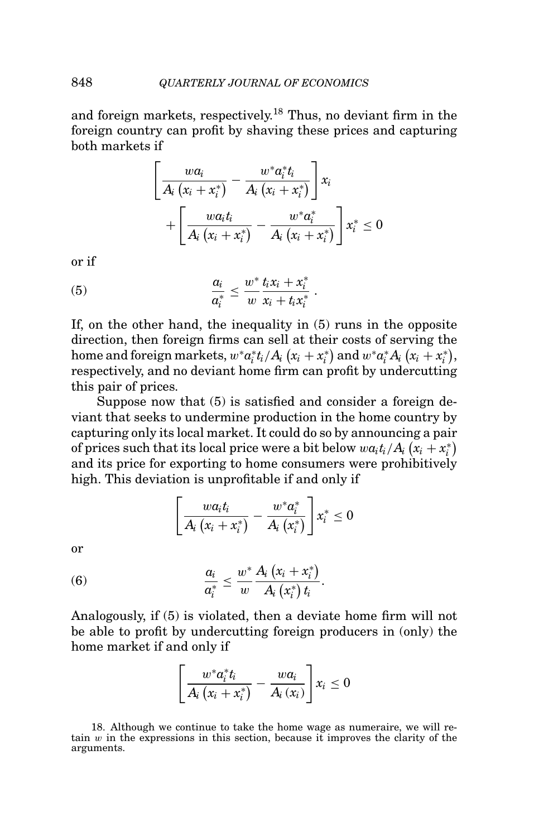and foreign markets, respectively.<sup>18</sup> Thus, no deviant firm in the foreign country can profit by shaving these prices and capturing both markets if

$$
\left[\frac{wa_i}{A_i(x_i+x_i^*)}-\frac{w^*a_i^*t_i}{A_i(x_i+x_i^*)}\right]x_i+\left[\frac{wa_it_i}{A_i(x_i+x_i^*)}-\frac{w^*a_i^*}{A_i(x_i+x_i^*)}\right]x_i^* \leq 0
$$

or if

$$
(5) \qquad \qquad \frac{a_i}{a_i^*} \leq \frac{w^*}{w} \frac{t_i x_i + x_i^*}{x_i + t_i x_i^*} \; .
$$

If, on the other hand, the inequality in (5) runs in the opposite direction, then foreign firms can sell at their costs of serving the home and foreign markets,  $w^* a_i^* t_i / A_i (x_i + x_i^*)$  and  $w^* a_i^* A_i (x_i + x_i^*)$ , respectively, and no deviant home firm can profit by undercutting this pair of prices.

Suppose now that (5) is satisfied and consider a foreign deviant that seeks to undermine production in the home country by capturing only its local market. It could do so by announcing a pair of prices such that its local price were a bit below  $wa_it_i/A_i(x_i + x_i^*)$ and its price for exporting to home consumers were prohibitively high. This deviation is unprofitable if and only if

$$
\left[\frac{wa_it_i}{A_i(x_i+x_i^*)}-\frac{w^*a_i^*}{A_i(x_i^*)}\right]x_i^*\leq 0
$$

or

(6) 
$$
\frac{a_i}{a_i^*} \leq \frac{w^*}{w} \frac{A_i (x_i + x_i^*)}{A_i (x_i^*) t_i}.
$$

Analogously, if (5) is violated, then a deviate home firm will not be able to profit by undercutting foreign producers in (only) the home market if and only if

$$
\left[\frac{w^*a_i^*t_i}{A_i(x_i+x_i^*)}-\frac{wa_i}{A_i(x_i)}\right]x_i\leq 0
$$

18. Although we continue to take the home wage as numeraire, we will retain  $w$  in the expressions in this section, because it improves the clarity of the arguments.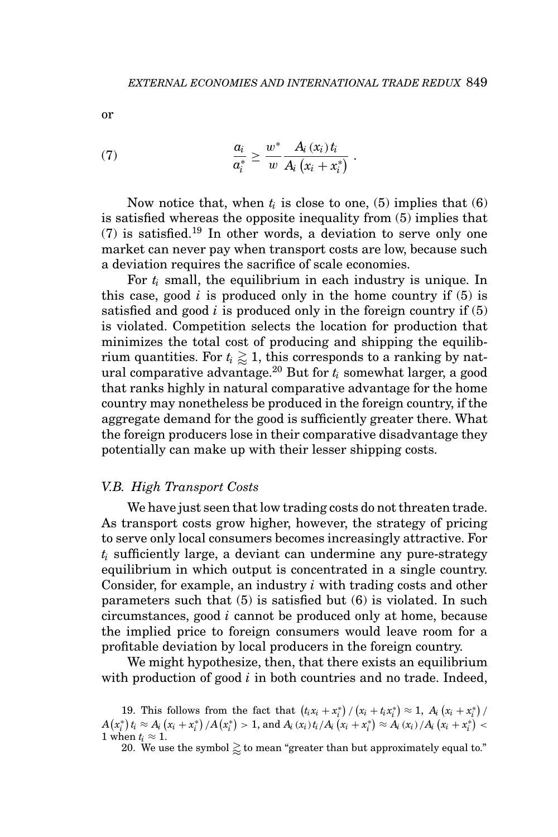or

$$
(7) \qquad \qquad \frac{a_i}{a_i^*} \geq \frac{w^*}{w} \frac{A_i(x_i) t_i}{A_i(x_i+x_i^*)} \ .
$$

Now notice that, when  $t_i$  is close to one, (5) implies that (6) is satisfied whereas the opposite inequality from (5) implies that (7) is satisfied.<sup>19</sup> In other words, a deviation to serve only one market can never pay when transport costs are low, because such a deviation requires the sacrifice of scale economies.

For  $t_i$  small, the equilibrium in each industry is unique. In this case, good  $i$  is produced only in the home country if  $(5)$  is satisfied and good  $i$  is produced only in the foreign country if  $(5)$ is violated. Competition selects the location for production that minimizes the total cost of producing and shipping the equilibrium quantities. For  $t_i \gtrapprox 1,$  this corresponds to a ranking by natural comparative advantage.<sup>20</sup> But for *ti* somewhat larger, a good that ranks highly in natural comparative advantage for the home country may nonetheless be produced in the foreign country, if the aggregate demand for the good is sufficiently greater there. What the foreign producers lose in their comparative disadvantage they potentially can make up with their lesser shipping costs.

## *V.B. High Transport Costs*

We have just seen that low trading costs do not threaten trade. As transport costs grow higher, however, the strategy of pricing to serve only local consumers becomes increasingly attractive. For *ti* sufficiently large, a deviant can undermine any pure-strategy equilibrium in which output is concentrated in a single country. Consider, for example, an industry *i* with trading costs and other parameters such that (5) is satisfied but (6) is violated. In such circumstances, good *i* cannot be produced only at home, because the implied price to foreign consumers would leave room for a profitable deviation by local producers in the foreign country.

We might hypothesize, then, that there exists an equilibrium with production of good *i* in both countries and no trade. Indeed,

19. This follows from the fact that  $(t_i x_i + x_i^*)/(x_i + t_i x_i^*) \approx 1$ ,  $A_i (x_i + x_i^*)/$  $A\left(x^*_i\right)t_i \approx A_i\left(x_i+x^*_i\right)/A\left(x^*_i\right) > 1 \text{, and } A_i\left(x_i\right)t_i/A_i\left(x_i+x^*_i\right) \approx A_i\left(x_i\right)/A_i\left(x_i+x^*_i\right) < 1 \text{, and } A_i\left(x_i\right)+A_i\left(x_i+x^*_i\right) \approx A_i\left(x_i\right)/A_i\left(x_i+x^*_i\right) < 1 \text{, and } A_i\left(x_i\right)+A_i\left(x_i+x^*_i\right) \approx A_i\left(x_i\right)/A_i\left(x_i+x^*_i\right) < 1 \text{, and } A_i\left(x_i\right)+$ 1 when  $t_i \approx 1$ .

20. We use the symbol  $\gtrsim$  to mean "greater than but approximately equal to."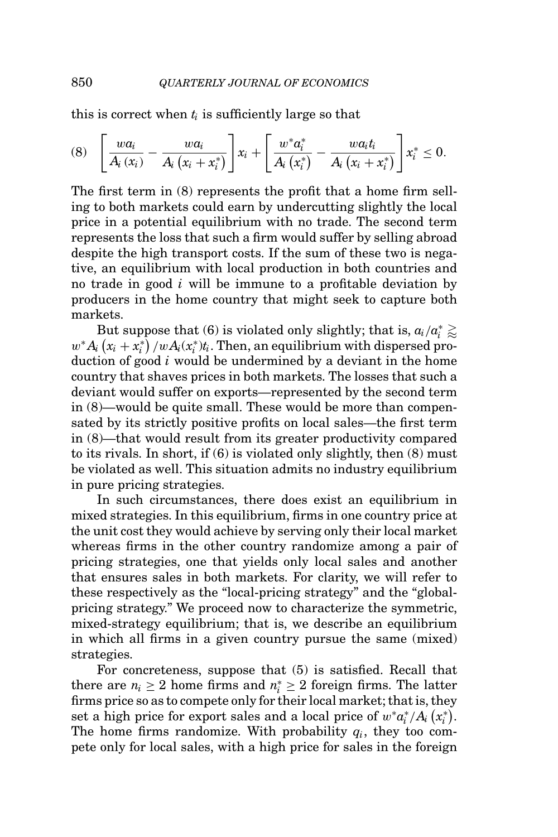this is correct when  $t_i$  is sufficiently large so that

$$
(8) \quad \left[\frac{wa_i}{A_i(x_i)} - \frac{wa_i}{A_i(x_i+x_i^*)}\right]x_i + \left[\frac{w^*a_i^*}{A_i(x_i^*)} - \frac{wa_it_i}{A_i(x_i+x_i^*)}\right]x_i^* \leq 0.
$$

The first term in (8) represents the profit that a home firm selling to both markets could earn by undercutting slightly the local price in a potential equilibrium with no trade. The second term represents the loss that such a firm would suffer by selling abroad despite the high transport costs. If the sum of these two is negative, an equilibrium with local production in both countries and no trade in good *i* will be immune to a profitable deviation by producers in the home country that might seek to capture both markets.

But suppose that (6) is violated only slightly; that is,  $a_i/a_i^* \gtrapprox$  $w^* A_i(x_i + x_i^*) / w A_i(x_i^*) t_i$ . Then, an equilibrium with dispersed production of good *i* would be undermined by a deviant in the home country that shaves prices in both markets. The losses that such a deviant would suffer on exports—represented by the second term in (8)—would be quite small. These would be more than compensated by its strictly positive profits on local sales—the first term in (8)—that would result from its greater productivity compared to its rivals. In short, if  $(6)$  is violated only slightly, then  $(8)$  must be violated as well. This situation admits no industry equilibrium in pure pricing strategies.

In such circumstances, there does exist an equilibrium in mixed strategies. In this equilibrium, firms in one country price at the unit cost they would achieve by serving only their local market whereas firms in the other country randomize among a pair of pricing strategies, one that yields only local sales and another that ensures sales in both markets. For clarity, we will refer to these respectively as the "local-pricing strategy" and the "globalpricing strategy." We proceed now to characterize the symmetric, mixed-strategy equilibrium; that is, we describe an equilibrium in which all firms in a given country pursue the same (mixed) strategies.

For concreteness, suppose that (5) is satisfied. Recall that there are  $n_i \geq 2$  home firms and  $n_i^* \geq 2$  foreign firms. The latter firms price so as to compete only for their local market; that is, they  $\mathbf{r}_i = \mathbf{r}_i + \mathbf{r}_i + \mathbf{r}_i + \mathbf{r}_i + \mathbf{r}_i + \mathbf{r}_i + \mathbf{r}_i + \mathbf{r}_i + \mathbf{r}_i + \mathbf{r}_i + \mathbf{r}_i + \mathbf{r}_i + \mathbf{r}_i + \mathbf{r}_i + \mathbf{r}_i + \mathbf{r}_i + \mathbf{r}_i + \mathbf{r}_i + \mathbf{r}_i + \mathbf{r}_i + \mathbf{r}_i + \mathbf{r}_i + \mathbf{r}_i + \mathbf{r}_i + \mathbf{r}_i + \mathbf{r}_i + \mathbf{$ The home firms randomize. With probability  $q_i$ , they too compete only for local sales, with a high price for sales in the foreign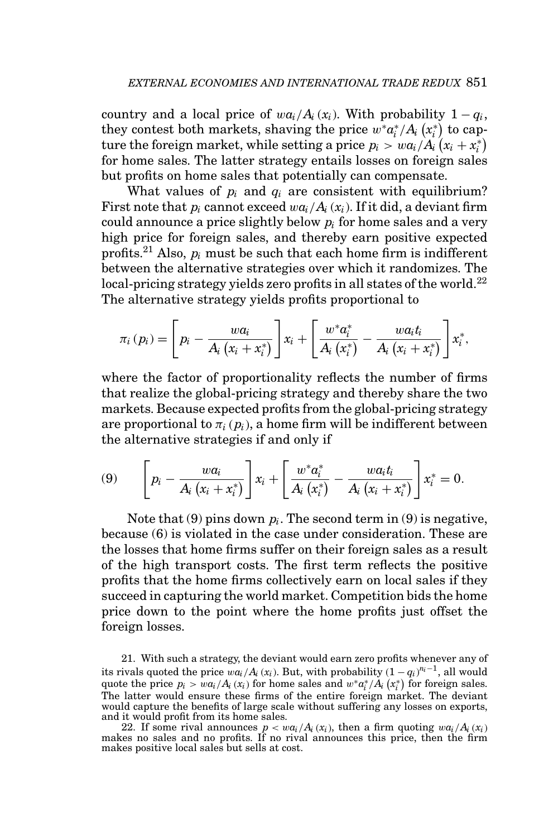country and a local price of  $wa_i/A_i(x_i)$ . With probability  $1-q_i$ , they contest both markets, shaving the price  $w^* a_i^* / A_i (x_i^*)$  to capture the foreign market, while setting a price  $p_i > wa_i/A_i(x_i + x_i^*)$ for home sales. The latter strategy entails losses on foreign sales but profits on home sales that potentially can compensate.

What values of  $p_i$  and  $q_i$  are consistent with equilibrium? First note that  $p_i$  cannot exceed  $w a_i / A_i(x_i)$ . If it did, a deviant firm could announce a price slightly below *pi* for home sales and a very high price for foreign sales, and thereby earn positive expected profits.21 Also, *pi* must be such that each home firm is indifferent between the alternative strategies over which it randomizes. The local-pricing strategy yields zero profits in all states of the world.<sup>22</sup> The alternative strategy yields profits proportional to

$$
\pi_{i}(p_{i}) = \left[p_{i} - \frac{wa_{i}}{A_{i}(x_{i} + x_{i}^{*})}\right]x_{i} + \left[\frac{w^{*}a_{i}^{*}}{A_{i}(x_{i}^{*})} - \frac{wa_{i}t_{i}}{A_{i}(x_{i} + x_{i}^{*})}\right]x_{i}^{*},
$$

where the factor of proportionality reflects the number of firms that realize the global-pricing strategy and thereby share the two markets. Because expected profits from the global-pricing strategy are proportional to  $\pi_i(p_i)$ , a home firm will be indifferent between the alternative strategies if and only if

(9) 
$$
\left[p_i - \frac{wa_i}{A_i (x_i + x_i^*)}\right] x_i + \left[\frac{w^* a_i^*}{A_i (x_i^*)} - \frac{wa_i t_i}{A_i (x_i + x_i^*)}\right] x_i^* = 0.
$$

Note that  $(9)$  pins down  $p_i$ . The second term in  $(9)$  is negative, because (6) is violated in the case under consideration. These are the losses that home firms suffer on their foreign sales as a result of the high transport costs. The first term reflects the positive profits that the home firms collectively earn on local sales if they succeed in capturing the world market. Competition bids the home price down to the point where the home profits just offset the foreign losses.

21. With such a strategy, the deviant would earn zero profits whenever any of its rivals quoted the price  $wa_i/A_i(x_i)$ . But, with probability  $(1 - q_i)^{n_i-1}$ , all would quote the price  $p_i > wa_i/A_i(x_i)$  for home sales and  $w^*a_i^*/A_i(x_i^*)$  for foreign sales. The latter would ensure these firms of the entire foreign market. The deviant would capture the benefits of large scale without suffering any losses on exports, and it would profit from its home sales.

22. If some rival announces  $p < w a_i/A_i(x_i)$ , then a firm quoting  $w a_i/A_i(x_i)$ makes no sales and no profits. If no rival announces this price, then the firm makes positive local sales but sells at cost.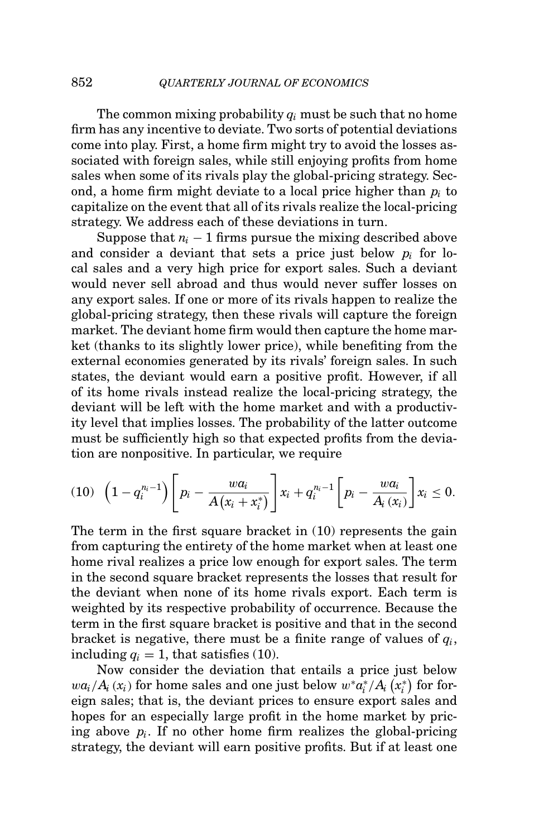The common mixing probability *qi* must be such that no home firm has any incentive to deviate. Two sorts of potential deviations come into play. First, a home firm might try to avoid the losses associated with foreign sales, while still enjoying profits from home sales when some of its rivals play the global-pricing strategy. Second, a home firm might deviate to a local price higher than *pi* to capitalize on the event that all of its rivals realize the local-pricing strategy. We address each of these deviations in turn.

Suppose that  $n_i - 1$  firms pursue the mixing described above and consider a deviant that sets a price just below  $p_i$  for local sales and a very high price for export sales. Such a deviant would never sell abroad and thus would never suffer losses on any export sales. If one or more of its rivals happen to realize the global-pricing strategy, then these rivals will capture the foreign market. The deviant home firm would then capture the home market (thanks to its slightly lower price), while benefiting from the external economies generated by its rivals' foreign sales. In such states, the deviant would earn a positive profit. However, if all of its home rivals instead realize the local-pricing strategy, the deviant will be left with the home market and with a productivity level that implies losses. The probability of the latter outcome must be sufficiently high so that expected profits from the deviation are nonpositive. In particular, we require

$$
(10) \ \ \left(1-q_i^{n_i-1}\right)\left[p_i-\frac{wa_i}{A(x_i+x_i^*)}\right]x_i+q_i^{n_i-1}\left[p_i-\frac{wa_i}{A_i(x_i)}\right]x_i\leq 0.
$$

The term in the first square bracket in (10) represents the gain from capturing the entirety of the home market when at least one home rival realizes a price low enough for export sales. The term in the second square bracket represents the losses that result for the deviant when none of its home rivals export. Each term is weighted by its respective probability of occurrence. Because the term in the first square bracket is positive and that in the second bracket is negative, there must be a finite range of values of *qi*, including  $q_i = 1$ , that satisfies (10).

Now consider the deviation that entails a price just below  $w a_i / A_i(x_i) \text{ for home sales and one just below } w^* a_i^* / A_i(x_i^*) \text{ for for-}$ eign sales; that is, the deviant prices to ensure export sales and hopes for an especially large profit in the home market by pricing above *pi*. If no other home firm realizes the global-pricing strategy, the deviant will earn positive profits. But if at least one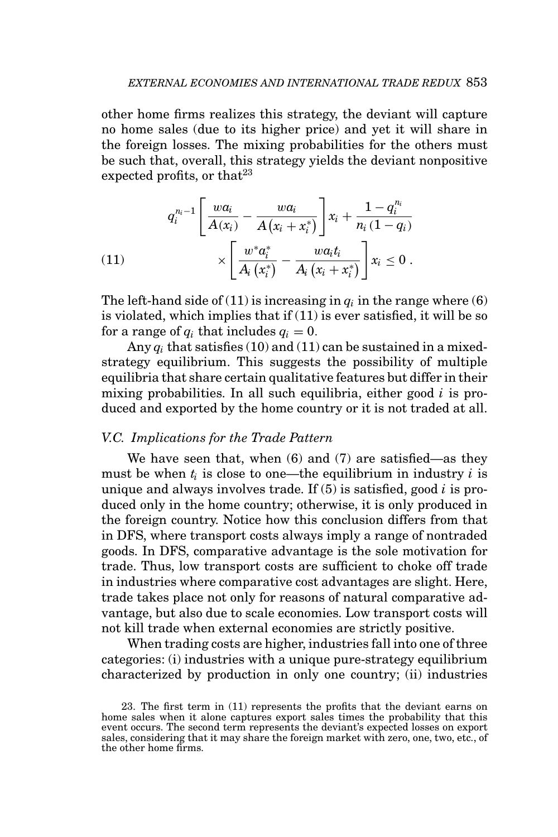other home firms realizes this strategy, the deviant will capture no home sales (due to its higher price) and yet it will share in the foreign losses. The mixing probabilities for the others must be such that, overall, this strategy yields the deviant nonpositive expected profits, or that  $2^3$ 

(11)  

$$
q_i^{n_i-1} \left[ \frac{w a_i}{A(x_i)} - \frac{w a_i}{A(x_i + x_i^*)} \right] x_i + \frac{1 - q_i^{n_i}}{n_i (1 - q_i)}
$$

$$
\times \left[ \frac{w^* a_i^*}{A_i (x_i^*)} - \frac{w a_i t_i}{A_i (x_i + x_i^*)} \right] x_i \leq 0.
$$

The left-hand side of (11) is increasing in  $q_i$  in the range where (6) is violated, which implies that if (11) is ever satisfied, it will be so for a range of  $q_i$  that includes  $q_i = 0$ .

Any  $q_i$  that satisfies (10) and (11) can be sustained in a mixedstrategy equilibrium. This suggests the possibility of multiple equilibria that share certain qualitative features but differ in their mixing probabilities. In all such equilibria, either good *i* is produced and exported by the home country or it is not traded at all.

# *V.C. Implications for the Trade Pattern*

We have seen that, when (6) and (7) are satisfied—as they must be when  $t_i$  is close to one—the equilibrium in industry  $i$  is unique and always involves trade. If (5) is satisfied, good *i* is produced only in the home country; otherwise, it is only produced in the foreign country. Notice how this conclusion differs from that in DFS, where transport costs always imply a range of nontraded goods. In DFS, comparative advantage is the sole motivation for trade. Thus, low transport costs are sufficient to choke off trade in industries where comparative cost advantages are slight. Here, trade takes place not only for reasons of natural comparative advantage, but also due to scale economies. Low transport costs will not kill trade when external economies are strictly positive.

When trading costs are higher, industries fall into one of three categories: (i) industries with a unique pure-strategy equilibrium characterized by production in only one country; (ii) industries

<sup>23.</sup> The first term in (11) represents the profits that the deviant earns on home sales when it alone captures export sales times the probability that this event occurs. The second term represents the deviant's expected losses on export sales, considering that it may share the foreign market with zero, one, two, etc., of the other home firms.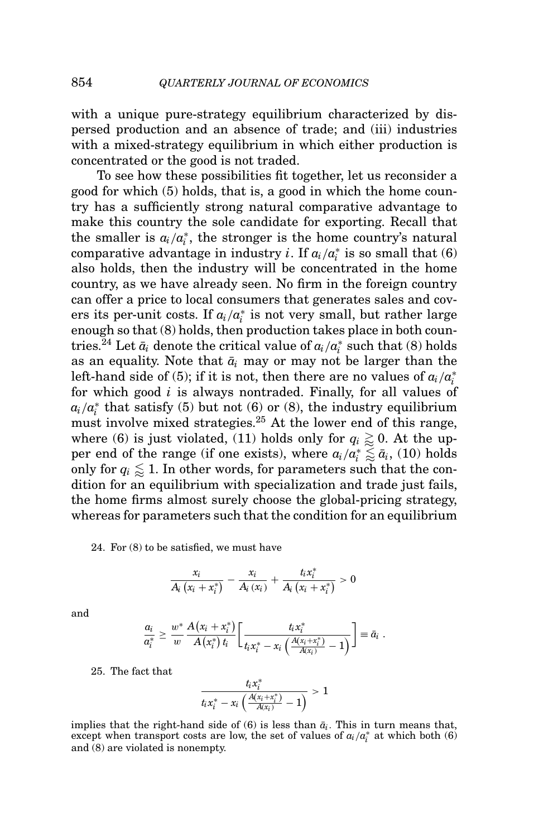with a unique pure-strategy equilibrium characterized by dispersed production and an absence of trade; and (iii) industries with a mixed-strategy equilibrium in which either production is concentrated or the good is not traded.

To see how these possibilities fit together, let us reconsider a good for which (5) holds, that is, a good in which the home country has a sufficiently strong natural comparative advantage to make this country the sole candidate for exporting. Recall that the smaller is  $a_i/a_i^*$ , the stronger is the home country's natural  $\mathop{\mathrm{comparative}}$  advantage in industry  $i.$  If  $a_i/a_i^*$  is so small that  $(6)$ also holds, then the industry will be concentrated in the home country, as we have already seen. No firm in the foreign country can offer a price to local consumers that generates sales and covers its per-unit costs. If *ai*/*a*<sup>∗</sup> *<sup>i</sup>* is not very small, but rather large enough so that (8) holds, then production takes place in both countries. $^{24}$  Let  $\bar{a}_i$  denote the critical value of  $a_i/a_i^*$  such that (8) holds as an equality. Note that  $\bar{a}_i$  may or may not be larger than the left-hand side of (5); if it is not, then there are no values of  $a_i/a_i^*$ for which good *i* is always nontraded. Finally, for all values of  $a_i/a_i^*$  that satisfy (5) but not (6) or (8), the industry equilibrium must involve mixed strategies.<sup>25</sup> At the lower end of this range, where (6) is just violated, (11) holds only for  $q_i \gtrapprox 0$ . At the upper end of the range (if one exists), where  $a_i/a_i^* \lessapprox \bar{a}_i$ , (10) holds only for  $q_i \leq 1$ . In other words, for parameters such that the condition for an equilibrium with specialization and trade just fails, the home firms almost surely choose the global-pricing strategy, whereas for parameters such that the condition for an equilibrium

24. For (8) to be satisfied, we must have

$$
\frac{x_i}{A_i(x_i+x_i^*)}-\frac{x_i}{A_i(x_i)}+\frac{t_ix_i^*}{A_i(x_i+x_i^*)}>0
$$

and

$$
\frac{a_i}{a_i^*}\geq \frac{w^*}{w}\frac{A(x_i+x_i^*)}{A(x_i^*)\,t_i}\bigg[\frac{t_ix_i^*}{t_ix_i^*-x_i\left(\frac{A(x_i+x_i^*)}{A(x_i)}-1\right)}\bigg]\equiv \bar{a}_i\,\,.
$$

25. The fact that

$$
\frac{t_ix_i^*}{t_ix_i^* - x_i\left(\frac{A(x_i+x_i^*)}{A(x_i)}-1\right)} > 1
$$

implies that the right-hand side of  $(6)$  is less than  $\bar{a}_i$ . This in turn means that, except when transport costs are low, the set of values of  $a_i/a_i^*$  at which both (6) and (8) are violated is nonempty.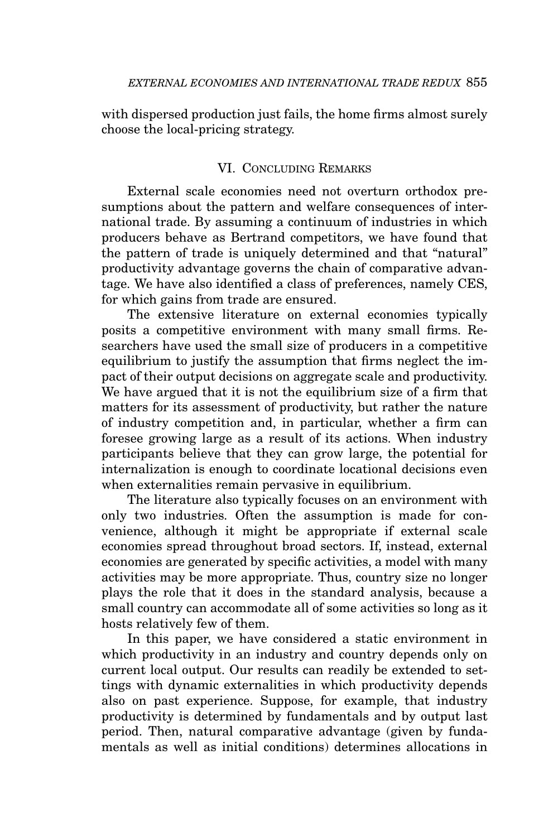with dispersed production just fails, the home firms almost surely choose the local-pricing strategy.

# VI. CONCLUDING REMARKS

External scale economies need not overturn orthodox presumptions about the pattern and welfare consequences of international trade. By assuming a continuum of industries in which producers behave as Bertrand competitors, we have found that the pattern of trade is uniquely determined and that "natural" productivity advantage governs the chain of comparative advantage. We have also identified a class of preferences, namely CES, for which gains from trade are ensured.

The extensive literature on external economies typically posits a competitive environment with many small firms. Researchers have used the small size of producers in a competitive equilibrium to justify the assumption that firms neglect the impact of their output decisions on aggregate scale and productivity. We have argued that it is not the equilibrium size of a firm that matters for its assessment of productivity, but rather the nature of industry competition and, in particular, whether a firm can foresee growing large as a result of its actions. When industry participants believe that they can grow large, the potential for internalization is enough to coordinate locational decisions even when externalities remain pervasive in equilibrium.

The literature also typically focuses on an environment with only two industries. Often the assumption is made for convenience, although it might be appropriate if external scale economies spread throughout broad sectors. If, instead, external economies are generated by specific activities, a model with many activities may be more appropriate. Thus, country size no longer plays the role that it does in the standard analysis, because a small country can accommodate all of some activities so long as it hosts relatively few of them.

In this paper, we have considered a static environment in which productivity in an industry and country depends only on current local output. Our results can readily be extended to settings with dynamic externalities in which productivity depends also on past experience. Suppose, for example, that industry productivity is determined by fundamentals and by output last period. Then, natural comparative advantage (given by fundamentals as well as initial conditions) determines allocations in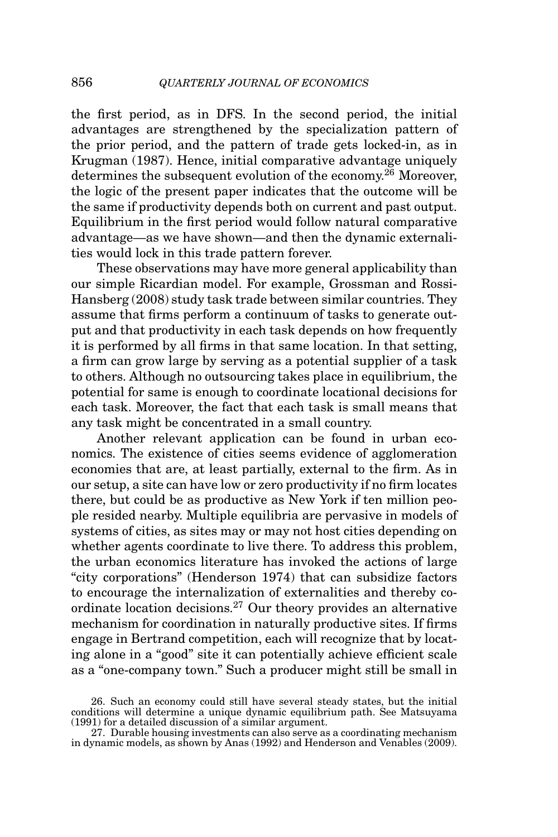the first period, as in DFS. In the second period, the initial advantages are strengthened by the specialization pattern of the prior period, and the pattern of trade gets locked-in, as in Krugman (1987). Hence, initial comparative advantage uniquely determines the subsequent evolution of the economy.<sup>26</sup> Moreover, the logic of the present paper indicates that the outcome will be the same if productivity depends both on current and past output. Equilibrium in the first period would follow natural comparative advantage—as we have shown—and then the dynamic externalities would lock in this trade pattern forever.

These observations may have more general applicability than our simple Ricardian model. For example, Grossman and Rossi-Hansberg (2008) study task trade between similar countries. They assume that firms perform a continuum of tasks to generate output and that productivity in each task depends on how frequently it is performed by all firms in that same location. In that setting, a firm can grow large by serving as a potential supplier of a task to others. Although no outsourcing takes place in equilibrium, the potential for same is enough to coordinate locational decisions for each task. Moreover, the fact that each task is small means that any task might be concentrated in a small country.

Another relevant application can be found in urban economics. The existence of cities seems evidence of agglomeration economies that are, at least partially, external to the firm. As in our setup, a site can have low or zero productivity if no firm locates there, but could be as productive as New York if ten million people resided nearby. Multiple equilibria are pervasive in models of systems of cities, as sites may or may not host cities depending on whether agents coordinate to live there. To address this problem, the urban economics literature has invoked the actions of large "city corporations" (Henderson 1974) that can subsidize factors to encourage the internalization of externalities and thereby coordinate location decisions.27 Our theory provides an alternative mechanism for coordination in naturally productive sites. If firms engage in Bertrand competition, each will recognize that by locating alone in a "good" site it can potentially achieve efficient scale as a "one-company town." Such a producer might still be small in

<sup>26.</sup> Such an economy could still have several steady states, but the initial conditions will determine a unique dynamic equilibrium path. See Matsuyama (1991) for a detailed discussion of a similar argument.

<sup>27.</sup> Durable housing investments can also serve as a coordinating mechanism in dynamic models, as shown by Anas (1992) and Henderson and Venables (2009).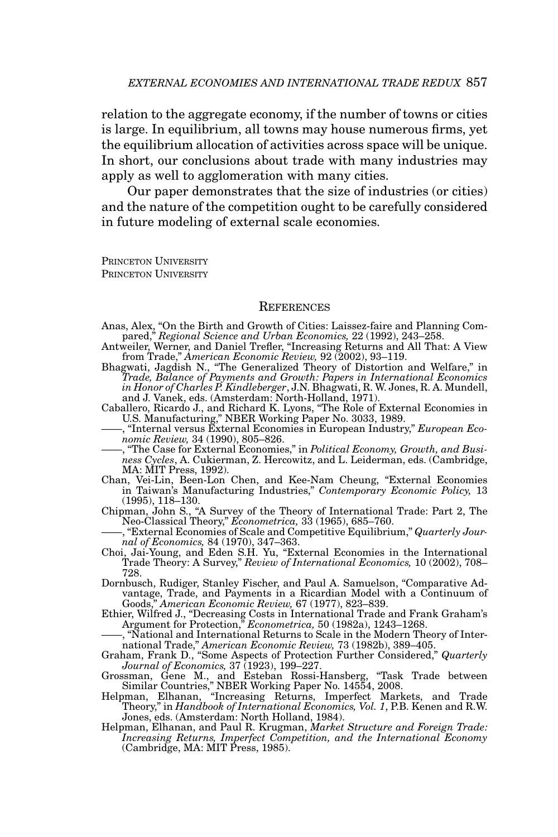relation to the aggregate economy, if the number of towns or cities is large. In equilibrium, all towns may house numerous firms, yet the equilibrium allocation of activities across space will be unique. In short, our conclusions about trade with many industries may apply as well to agglomeration with many cities.

Our paper demonstrates that the size of industries (or cities) and the nature of the competition ought to be carefully considered in future modeling of external scale economies.

PRINCETON UNIVERSITY PRINCETON UNIVERSITY

#### **REFERENCES**

- Anas, Alex, "On the Birth and Growth of Cities: Laissez-faire and Planning Com-
- pared," Regional Science and Urban Economics, 22 (1992), 243–258.<br>Antweiler, Werner, and Daniel Trefler, "Increasing Returns and All That: A View<br>from Trade," American Economic Review, 92 (2002), 93–119.<br>Bhagwati, Jagdish
- *Trade, Balance of Payments and Growth: Papers in International Economics in Honor of Charles P. Kindleberger*, J.N. Bhagwati, R. W. Jones, R. A. Mundell, and J. Vanek, eds. (Amsterdam: North-Holland, 1971).
- Caballero, Ricardo J., and Richard K. Lyons, "The Role of External Economies in U.S. Manufacturing," NBER Working Paper No. 3033, 1989. ——, "Internal versus External Economies in European Industry," *European Eco*
	- *nomic Review,* 34 (1990), 805–826.
- ——, "The Case for External Economies," in *Political Economy, Growth, and Business Cycles*, A. Cukierman, Z. Hercowitz, and L. Leiderman, eds. (Cambridge, MA: MIT Press, 1992).
- Chan, Vei-Lin, Been-Lon Chen, and Kee-Nam Cheung, "External Economies in Taiwan's Manufacturing Industries," *Contemporary Economic Policy,* 13 (1995), 118–130.
- Chipman, John S., "A Survey of the Theory of International Trade: Part 2, The Neo-Classical Theory," *Econometrica,* 33 (1965), 685–760.
- ——, "External Economies of Scale and Competitive Equilibrium," *Quarterly Jour-*
- *nal of Economics,* 84 (1970), 347–363. Choi, Jai-Young, and Eden S.H. Yu, "External Economies in the International Trade Theory: A Survey," *Review of International Economics,* 10 (2002), 708– 728.
- Dornbusch, Rudiger, Stanley Fischer, and Paul A. Samuelson, "Comparative Advantage, Trade, and Payments in a Ricardian Model with a Continuum of Goods," *American Economic Review,* 67 (1977), 823–839.
- Ethier, Wilfred J., "Decreasing Costs in International Trade and Frank Graham's Argument for Protection," *Econometrica,* 50 (1982a), 1243–1268.
- ——, "National and International Returns to Scale in the Modern Theory of International Trade," *American Economic Review,* 73 (1982b), 389–405. Graham, Frank D., "Some Aspects of Protection Further Considered," *Quarterly*
- 
- Journal of Economics, 37 (1923), 199–227.<br>Grossman, Gene M., and Esteban Rossi-Hansberg, "Task Trade between<br>Similar Countries," NBER Working Paper No. 14554, 2008.<br>Helpman, Elhanan, "Increasing Returns, Imperfect Markets,
- 
- Jones, eds. (Amsterdam: North Holland, 1984). Helpman, Elhanan, and Paul R. Krugman, *Market Structure and Foreign Trade: Increasing Returns, Imperfect Competition, and the International Economy* (Cambridge, MA: MIT Press, 1985).